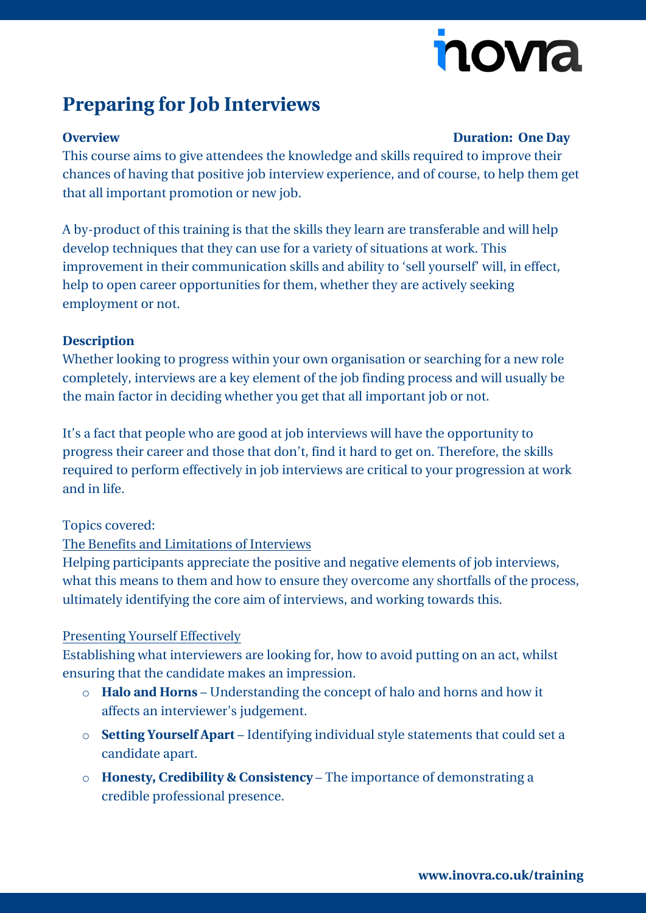# nova

## **Preparing for Job Interviews**

#### **Overview Duration: One Day**

This course aims to give attendees the knowledge and skills required to improve their chances of having that positive job interview experience, and of course, to help them get that all important promotion or new job.

A by-product of this training is that the skills they learn are transferable and will help develop techniques that they can use for a variety of situations at work. This improvement in their communication skills and ability to 'sell yourself' will, in effect, help to open career opportunities for them, whether they are actively seeking employment or not.

#### **Description**

Whether looking to progress within your own organisation or searching for a new role completely, interviews are a key element of the job finding process and will usually be the main factor in deciding whether you get that all important job or not.

It's a fact that people who are good at job interviews will have the opportunity to progress their career and those that don't, find it hard to get on. Therefore, the skills required to perform effectively in job interviews are critical to your progression at work and in life.

### Topics covered:

### The Benefits and Limitations of Interviews

Helping participants appreciate the positive and negative elements of job interviews, what this means to them and how to ensure they overcome any shortfalls of the process, ultimately identifying the core aim of interviews, and working towards this.

#### Presenting Yourself Effectively

Establishing what interviewers are looking for, how to avoid putting on an act, whilst ensuring that the candidate makes an impression.

- o **Halo and Horns** Understanding the concept of halo and horns and how it affects an interviewer's judgement.
- o **Setting Yourself Apart** Identifying individual style statements that could set a candidate apart.
- o **Honesty, Credibility & Consistency** The importance of demonstrating a credible professional presence.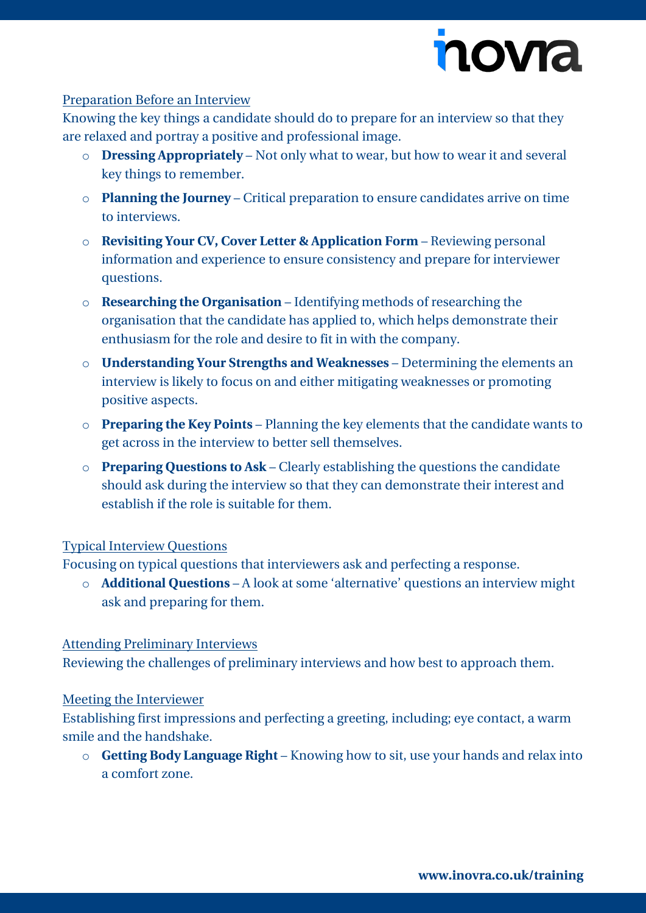

#### Preparation Before an Interview

Knowing the key things a candidate should do to prepare for an interview so that they are relaxed and portray a positive and professional image.

- o **Dressing Appropriately** Not only what to wear, but how to wear it and several key things to remember.
- o **Planning the Journey** Critical preparation to ensure candidates arrive on time to interviews.
- o **Revisiting Your CV, Cover Letter & Application Form** Reviewing personal information and experience to ensure consistency and prepare for interviewer questions.
- o **Researching the Organisation** Identifying methods of researching the organisation that the candidate has applied to, which helps demonstrate their enthusiasm for the role and desire to fit in with the company.
- o **Understanding Your Strengths and Weaknesses** Determining the elements an interview is likely to focus on and either mitigating weaknesses or promoting positive aspects.
- o **Preparing the Key Points** Planning the key elements that the candidate wants to get across in the interview to better sell themselves.
- o **Preparing Questions to Ask** Clearly establishing the questions the candidate should ask during the interview so that they can demonstrate their interest and establish if the role is suitable for them.

#### Typical Interview Questions

Focusing on typical questions that interviewers ask and perfecting a response.

o **Additional Questions** – A look at some 'alternative' questions an interview might ask and preparing for them.

#### Attending Preliminary Interviews

Reviewing the challenges of preliminary interviews and how best to approach them.

#### Meeting the Interviewer

Establishing first impressions and perfecting a greeting, including; eye contact, a warm smile and the handshake.

o **Getting Body Language Right** – Knowing how to sit, use your hands and relax into a comfort zone.